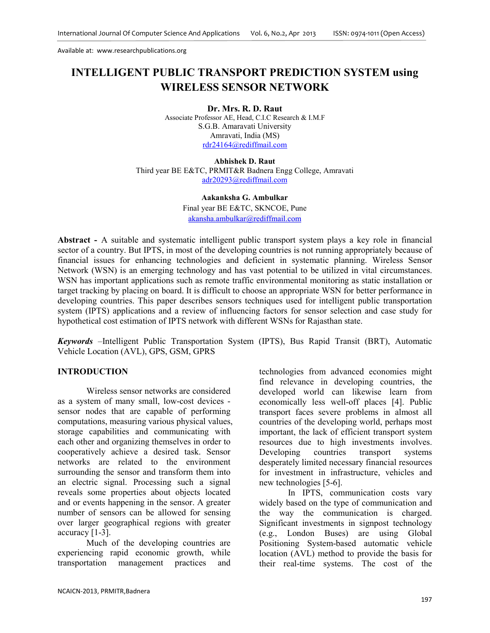# **INTELLIGENT PUBLIC TRANSPORT PREDICTION SYSTEM using WIRELESS SENSOR NETWORK**

**Dr. Mrs. R. D. Raut**  Associate Professor AE, Head, C.I.C Research & I.M.F S.G.B. Amaravati University Amravati, India (MS) rdr24164@rediffmail.com

**Abhishek D. Raut**  Third year BE E&TC, PRMIT&R Badnera Engg College, Amravati adr20293@rediffmail.com

> **Aakanksha G. Ambulkar**  Final year BE E&TC, SKNCOE, Pune akansha.ambulkar@rediffmail.com

**Abstract -** A suitable and systematic intelligent public transport system plays a key role in financial sector of a country. But IPTS, in most of the developing countries is not running appropriately because of financial issues for enhancing technologies and deficient in systematic planning. Wireless Sensor Network (WSN) is an emerging technology and has vast potential to be utilized in vital circumstances. WSN has important applications such as remote traffic environmental monitoring as static installation or target tracking by placing on board. It is difficult to choose an appropriate WSN for better performance in developing countries. This paper describes sensors techniques used for intelligent public transportation system (IPTS) applications and a review of influencing factors for sensor selection and case study for hypothetical cost estimation of IPTS network with different WSNs for Rajasthan state.

*Keywords* –Intelligent Public Transportation System (IPTS), Bus Rapid Transit (BRT), Automatic Vehicle Location (AVL), GPS, GSM, GPRS

## **INTRODUCTION**

Wireless sensor networks are considered as a system of many small, low-cost devices sensor nodes that are capable of performing computations, measuring various physical values, storage capabilities and communicating with each other and organizing themselves in order to cooperatively achieve a desired task. Sensor networks are related to the environment surrounding the sensor and transform them into an electric signal. Processing such a signal reveals some properties about objects located and or events happening in the sensor. A greater number of sensors can be allowed for sensing over larger geographical regions with greater accuracy [1-3].

Much of the developing countries are experiencing rapid economic growth, while transportation management practices and technologies from advanced economies might find relevance in developing countries, the developed world can likewise learn from economically less well-off places [4]. Public transport faces severe problems in almost all countries of the developing world, perhaps most important, the lack of efficient transport system resources due to high investments involves. Developing countries transport systems desperately limited necessary financial resources for investment in infrastructure, vehicles and new technologies [5-6].

In IPTS, communication costs vary widely based on the type of communication and the way the communication is charged. Significant investments in signpost technology (e.g., London Buses) are using Global Positioning System-based automatic vehicle location (AVL) method to provide the basis for their real-time systems. The cost of the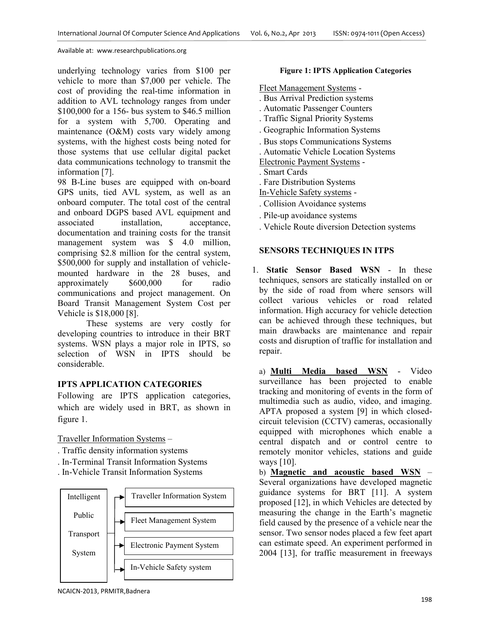underlying technology varies from \$100 per vehicle to more than \$7,000 per vehicle. The cost of providing the real-time information in addition to AVL technology ranges from under \$100,000 for a 156- bus system to \$46.5 million for a system with 5,700. Operating and maintenance (O&M) costs vary widely among systems, with the highest costs being noted for those systems that use cellular digital packet data communications technology to transmit the information [7].

98 B-Line buses are equipped with on-board GPS units, tied AVL system, as well as an onboard computer. The total cost of the central and onboard DGPS based AVL equipment and associated installation, acceptance, documentation and training costs for the transit management system was \$ 4.0 million, comprising \$2.8 million for the central system, \$500,000 for supply and installation of vehiclemounted hardware in the 28 buses, and approximately \$600,000 for radio communications and project management. On Board Transit Management System Cost per Vehicle is \$18,000 [8].

These systems are very costly for developing countries to introduce in their BRT systems. WSN plays a major role in IPTS, so selection of WSN in IPTS should be considerable.

# **IPTS APPLICATION CATEGORIES**

Following are IPTS application categories, which are widely used in BRT, as shown in figure 1.

Traveller Information Systems –

- . Traffic density information systems
- . In-Terminal Transit Information Systems
- . In-Vehicle Transit Information Systems



## **Figure 1: IPTS Application Categories**

Fleet Management Systems -

- . Bus Arrival Prediction systems
- . Automatic Passenger Counters
- . Traffic Signal Priority Systems
- . Geographic Information Systems
- . Bus stops Communications Systems
- . Automatic Vehicle Location Systems

Electronic Payment Systems -

. Smart Cards

. Fare Distribution Systems

- In-Vehicle Safety systems -
- . Collision Avoidance systems
- . Pile-up avoidance systems
- . Vehicle Route diversion Detection systems

# **SENSORS TECHNIQUES IN ITPS**

1. **Static Sensor Based WSN** - In these techniques, sensors are statically installed on or by the side of road from where sensors will collect various vehicles or road related information. High accuracy for vehicle detection can be achieved through these techniques, but main drawbacks are maintenance and repair costs and disruption of traffic for installation and repair.

a) **Multi Media based WSN** - Video surveillance has been projected to enable tracking and monitoring of events in the form of multimedia such as audio, video, and imaging. APTA proposed a system [9] in which closedcircuit television (CCTV) cameras, occasionally equipped with microphones which enable a central dispatch and or control centre to remotely monitor vehicles, stations and guide ways [10].

b) **Magnetic and acoustic based WSN** – Several organizations have developed magnetic guidance systems for BRT [11]. A system proposed [12], in which Vehicles are detected by measuring the change in the Earth's magnetic field caused by the presence of a vehicle near the sensor. Two sensor nodes placed a few feet apart can estimate speed. An experiment performed in 2004 [13], for traffic measurement in freeways

NCAICN-2013, PRMITR,Badnera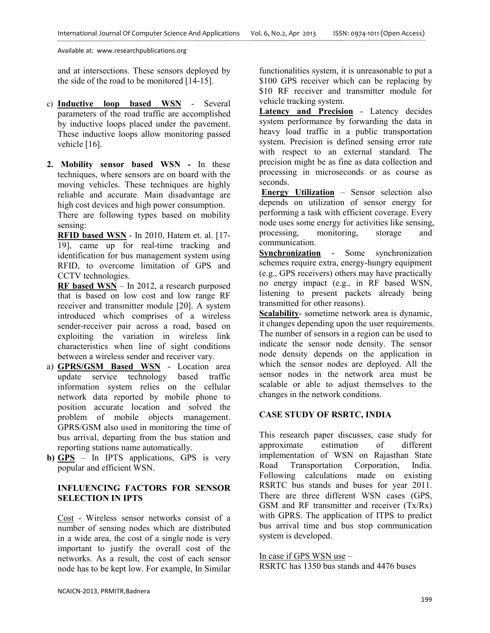and at intersections. These sensors deployed by the side of the road to be monitored [14-15].

- c) **Inductive loop based WSN** Several parameters of the road traffic are accomplished by inductive loops placed under the pavement. These inductive loops allow monitoring passed vehicle [16].
- **2. Mobility sensor based WSN -** In these techniques, where sensors are on board with the moving vehicles. These techniques are highly reliable and accurate. Main disadvantage are high cost devices and high power consumption.

There are following types based on mobility sensing:

**RFID based WSN** - In 2010, Hatem et. al. [17- 19], came up for real-time tracking and identification for bus management system using RFID, to overcome limitation of GPS and CCTV technologies.

**RF based WSN** – In 2012, a research purposed that is based on low cost and low range RF receiver and transmitter module [20]. A system introduced which comprises of a wireless sender-receiver pair across a road, based on exploiting the variation in wireless link characteristics when line of sight conditions between a wireless sender and receiver vary.

- a) **GPRS/GSM Based WSN** Location area update service technology based traffic information system relies on the cellular network data reported by mobile phone to position accurate location and solved the problem of mobile objects management. GPRS/GSM also used in monitoring the time of bus arrival, departing from the bus station and reporting stations name automatically.
- **b) GPS** In IPTS applications, GPS is very popular and efficient WSN.

# **INFLUENCING FACTORS FOR SENSOR SELECTION IN IPTS**

Cost - Wireless sensor networks consist of a number of sensing nodes which are distributed in a wide area, the cost of a single node is very important to justify the overall cost of the networks. As a result, the cost of each sensor node has to be kept low. For example, In Similar

functionalities system, it is unreasonable to put a \$100 GPS receiver which can be replacing by \$10 RF receiver and transmitter module for vehicle tracking system.

**Latency and Precision** - Latency decides system performance by forwarding the data in heavy load traffic in a public transportation system. Precision is defined sensing error rate with respect to an external standard. The precision might be as fine as data collection and processing in microseconds or as course as seconds.

 **Energy Utilization** – Sensor selection also depends on utilization of sensor energy for performing a task with efficient coverage. Every node uses some energy for activities like sensing, processing, monitoring, storage and communication.

**Synchronization** - Some synchronization schemes require extra, energy-hungry equipment (e.g., GPS receivers) others may have practically no energy impact (e.g., in RF based WSN, listening to present packets already being transmitted for other reasons).

**Scalability**- sometime network area is dynamic, it changes depending upon the user requirements. The number of sensors in a region can be used to indicate the sensor node density. The sensor node density depends on the application in which the sensor nodes are deployed. All the sensor nodes in the network area must be scalable or able to adjust themselves to the changes in the network conditions.

# **CASE STUDY OF RSRTC, INDIA**

This research paper discusses, case study for approximate estimation of different implementation of WSN on Rajasthan State Road Transportation Corporation, India. Following calculations made on existing RSRTC bus stands and buses for year 2011. There are three different WSN cases (GPS, GSM and RF transmitter and receiver (Tx/Rx) with GPRS. The application of ITPS to predict bus arrival time and bus stop communication system is developed.

# In case if GPS WSN use –

RSRTC has 1350 bus stands and 4476 buses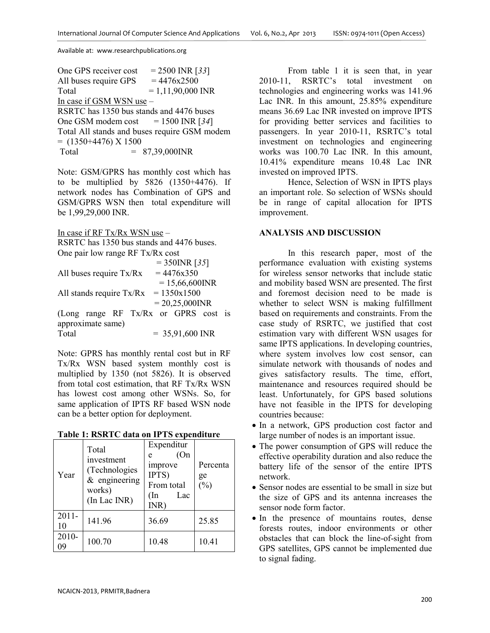One GPS receiver cost  $= 2500 \text{ INR}$  [33] All buses require GPS  $= 4476x2500$  $Total = 1.11,90,000 \text{ INR}$ In case if GSM WSN use – RSRTC has 1350 bus stands and 4476 buses One GSM modem cost  $= 1500 \text{ INR}$  [34] Total All stands and buses require GSM modem  $=$  (1350+4476) X 1500  $Total = 87.39.000 \text{INR}$ 

Note: GSM/GPRS has monthly cost which has to be multiplied by 5826 (1350+4476). If network nodes has Combination of GPS and GSM/GPRS WSN then total expenditure will be 1,99,29,000 INR.

In case if RF Tx/Rx WSN use –

RSRTC has 1350 bus stands and 4476 buses. One pair low range RF Tx/Rx cost

|                                        | $= 350$ INR [35]  |
|----------------------------------------|-------------------|
| All buses require Tx/Rx                | $= 4476x350$      |
|                                        | $= 15,66,600$ INR |
| All stands require $Tx/Rx = 1350x1500$ |                   |
|                                        | $= 20,25,000$ INR |
| (Long range RF Tx/Rx or GPRS cost is   |                   |
| approximate same)                      |                   |
| Total                                  | $= 35,91,600$ INR |
|                                        |                   |

Note: GPRS has monthly rental cost but in RF Tx/Rx WSN based system monthly cost is multiplied by 1350 (not 5826). It is observed from total cost estimation, that RF Tx/Rx WSN has lowest cost among other WSNs. So, for same application of IPTS RF based WSN node can be a better option for deployment.

**Table 1: RSRTC data on IPTS expenditure** 

| Year           | Total<br>investment<br>(Technologies<br>$&$ engineering<br>works)<br>(In Lac INR) | Expenditur<br>(On<br>e<br>improve<br>IPTS)<br>From total<br>$(\ln$<br>Lac<br>INR) | Percenta<br>ge<br>$(\%)$ |
|----------------|-----------------------------------------------------------------------------------|-----------------------------------------------------------------------------------|--------------------------|
| $2011 -$<br>10 | 141.96                                                                            | 36.69                                                                             | 25.85                    |
| 2010-<br>09    | 100.70                                                                            | 10.48                                                                             | 10.41                    |

From table 1 it is seen that, in year 2010-11, RSRTC's total investment on technologies and engineering works was 141.96 Lac INR. In this amount, 25.85% expenditure means 36.69 Lac INR invested on improve IPTS for providing better services and facilities to passengers. In year 2010-11, RSRTC's total investment on technologies and engineering works was 100.70 Lac INR. In this amount, 10.41% expenditure means 10.48 Lac INR invested on improved IPTS.

Hence, Selection of WSN in IPTS plays an important role. So selection of WSNs should be in range of capital allocation for IPTS improvement.

# **ANALYSIS AND DISCUSSION**

In this research paper, most of the performance evaluation with existing systems for wireless sensor networks that include static and mobility based WSN are presented. The first and foremost decision need to be made is whether to select WSN is making fulfillment based on requirements and constraints. From the case study of RSRTC, we justified that cost estimation vary with different WSN usages for same IPTS applications. In developing countries, where system involves low cost sensor, can simulate network with thousands of nodes and gives satisfactory results. The time, effort, maintenance and resources required should be least. Unfortunately, for GPS based solutions have not feasible in the IPTS for developing countries because:

- In a network, GPS production cost factor and large number of nodes is an important issue.
- The power consumption of GPS will reduce the effective operability duration and also reduce the battery life of the sensor of the entire IPTS network.
- Sensor nodes are essential to be small in size but the size of GPS and its antenna increases the sensor node form factor.
- In the presence of mountains routes, dense forests routes, indoor environments or other obstacles that can block the line-of-sight from GPS satellites, GPS cannot be implemented due to signal fading.